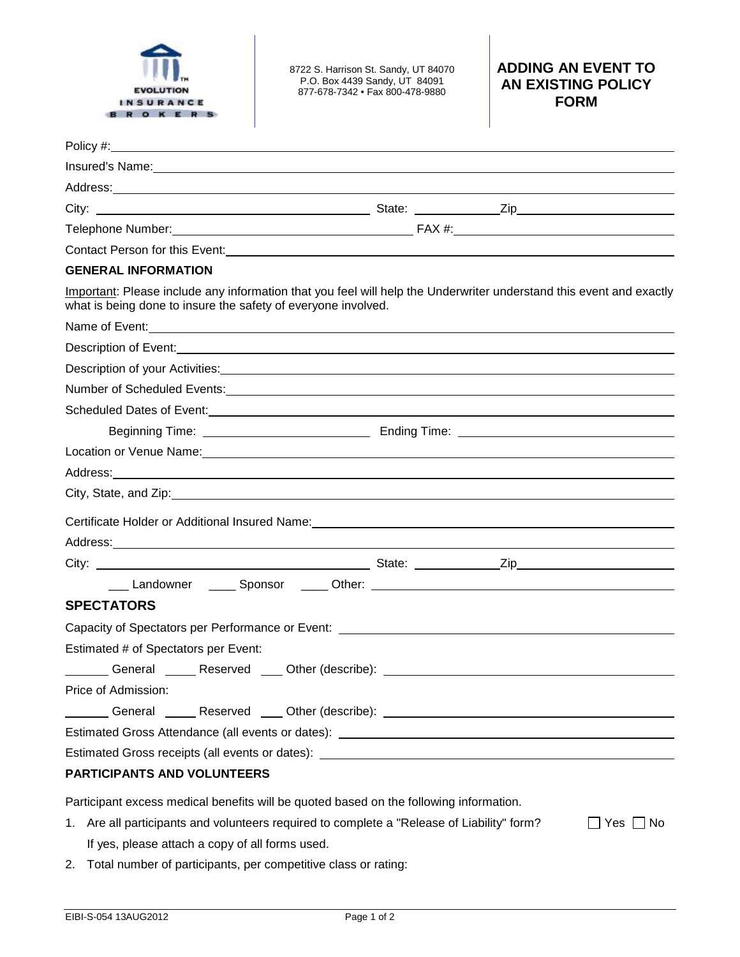

8722 S. Harrison St. Sandy, UT 84070 P.O. Box 4439 Sandy, UT 84091 877-678-7342 • Fax 800-478-9880

## **ADDING AN EVENT TO AN EXISTING POLICY FORM**

| Policy #:<br><u> 1989 - Johann Barbara, martxa alemaniar argumento este alemaniar alemaniar alemaniar alemaniar alemaniar a</u>                                                                                                      |  |              |
|--------------------------------------------------------------------------------------------------------------------------------------------------------------------------------------------------------------------------------------|--|--------------|
| Insured's Name: 1997 Manual Community of the Manual Community of the Manual Community of the Manual Community of the Manual Community of the Manual Community of the Manual Community of the Manual Community of the Manual Co       |  |              |
| Address: <u>Address: Address: Address: Address: Address: Address: Address: Address: Address: Address: Address: Address: Address: Address: Address: Address: Address: Address: Address: Address: Address: Address: Address: Addre</u> |  |              |
|                                                                                                                                                                                                                                      |  |              |
|                                                                                                                                                                                                                                      |  |              |
| Contact Person for this Event:<br><u> Contact Person for this Event:</u>                                                                                                                                                             |  |              |
| <b>GENERAL INFORMATION</b>                                                                                                                                                                                                           |  |              |
| Important: Please include any information that you feel will help the Underwriter understand this event and exactly<br>what is being done to insure the safety of everyone involved.                                                 |  |              |
| Name of Event: <u>continues</u> and continues and continues and continues and continues and continues and continues and continues and continues and continues and continues and continues and continues and continues and continues  |  |              |
| Description of Event: <u>Continuum and Communication of the Communication</u> and Communication of Events                                                                                                                            |  |              |
|                                                                                                                                                                                                                                      |  |              |
| Number of Scheduled Events: <u>Communications of the Communications</u> of Scheduled Events:                                                                                                                                         |  |              |
|                                                                                                                                                                                                                                      |  |              |
|                                                                                                                                                                                                                                      |  |              |
| Location or Venue Name: Manual Contract of the Contract of the Contract of the Contract of the Contract of the                                                                                                                       |  |              |
| Address:<br><u> 1989 - Andrea Barbara, Amerikaansk politiker (d. 1989)</u>                                                                                                                                                           |  |              |
|                                                                                                                                                                                                                                      |  |              |
| Certificate Holder or Additional Insured Name: Mannell Controller Controller Controller Controller Controller                                                                                                                        |  |              |
|                                                                                                                                                                                                                                      |  |              |
|                                                                                                                                                                                                                                      |  |              |
|                                                                                                                                                                                                                                      |  |              |
| <b>SPECTATORS</b>                                                                                                                                                                                                                    |  |              |
| Capacity of Spectators per Performance or Event: _______________________________                                                                                                                                                     |  |              |
| Estimated # of Spectators per Event:                                                                                                                                                                                                 |  |              |
| ________General ______Reserved ____ Other (describe): ___________________________                                                                                                                                                    |  |              |
| Price of Admission:                                                                                                                                                                                                                  |  |              |
|                                                                                                                                                                                                                                      |  |              |
| Estimated Gross Attendance (all events or dates): ______________________________                                                                                                                                                     |  |              |
| Estimated Gross receipts (all events or dates): _________________________________                                                                                                                                                    |  |              |
| PARTICIPANTS AND VOLUNTEERS                                                                                                                                                                                                          |  |              |
| Participant excess medical benefits will be quoted based on the following information.                                                                                                                                               |  |              |
| 1. Are all participants and volunteers required to complete a "Release of Liability" form?                                                                                                                                           |  | _  Yes  ∐ No |

- If yes, please attach a copy of all forms used.
- 2. Total number of participants, per competitive class or rating: